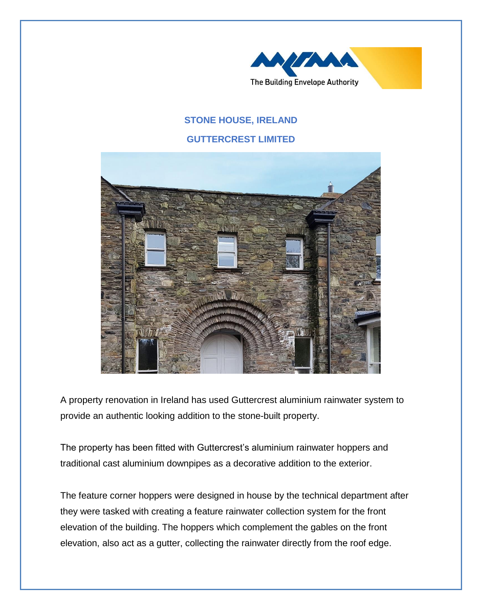

## **STONE HOUSE, IRELAND**

## **GUTTERCREST LIMITED**



A property renovation in Ireland has used Guttercrest aluminium rainwater system to provide an authentic looking addition to the stone-built property.

The property has been fitted with Guttercrest's aluminium rainwater hoppers and traditional cast aluminium downpipes as a decorative addition to the exterior.

The feature corner hoppers were designed in house by the technical department after they were tasked with creating a feature rainwater collection system for the front elevation of the building. The hoppers which complement the gables on the front elevation, also act as a gutter, collecting the rainwater directly from the roof edge.